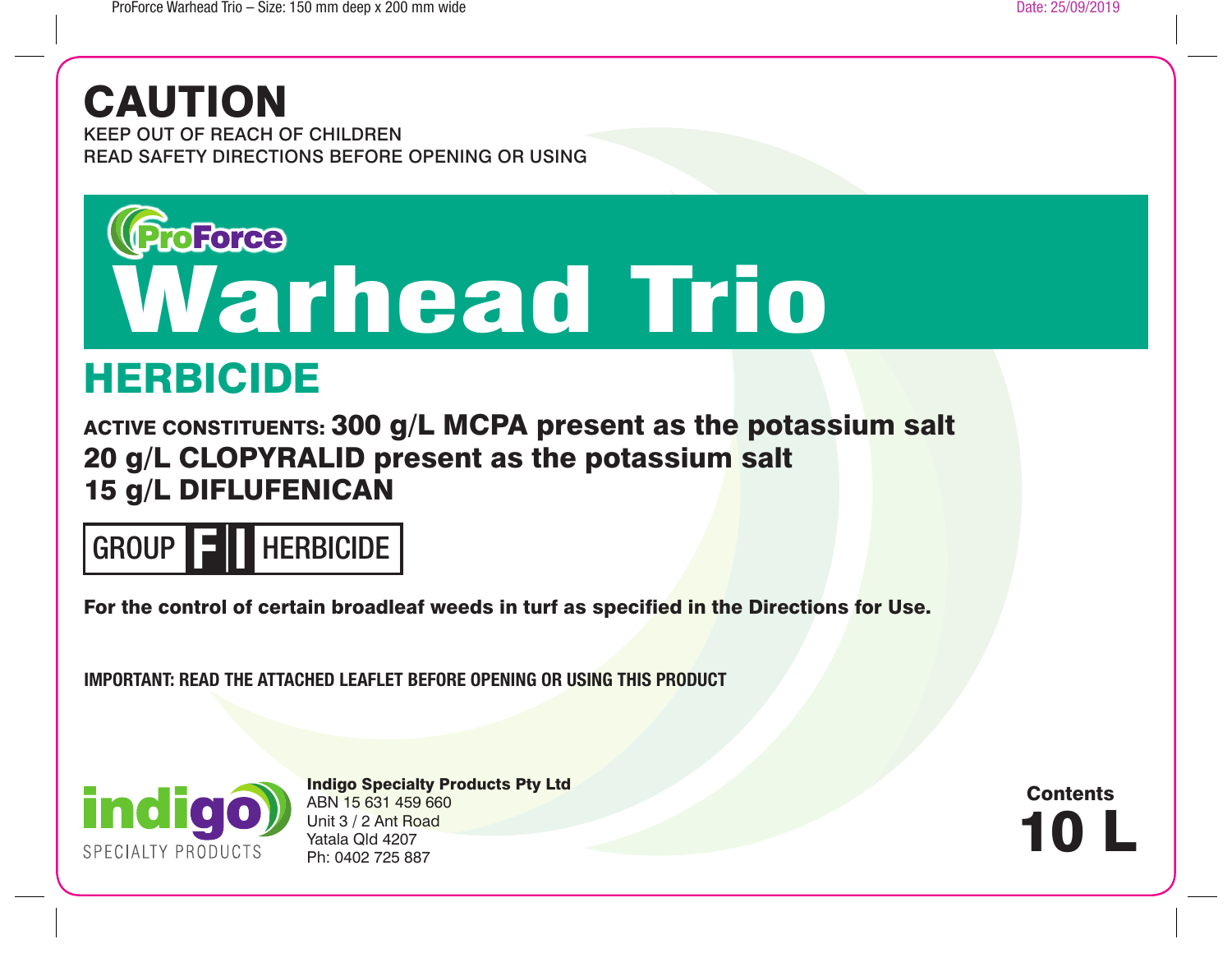# CAUTION

KEEP OUT OF REACH OF CHILDREN READ SAFETY DIRECTIONS BEFORE OPENING OR USING



## HERBICIDE

ACTIVE CONSTITUENTS: 300 g/L MCPA present as the potassium salt 20 g/L CLOPYRALID present as the potassium salt 15 g/L DIFLUFENICAN



For the control of certain broadleaf weeds in turf as specified in the Directions for Use.

**IMPORTANT: READ THE ATTACHED LEAFLET BEFORE OPENING OR USING THIS PRODUCT**



Indigo Specialty Products Pty Ltd ABN 15 631 459 660 Unit 3 / 2 Ant Road Yatala Qld 4207 Ph: 0402 725 887

10 L **Contents**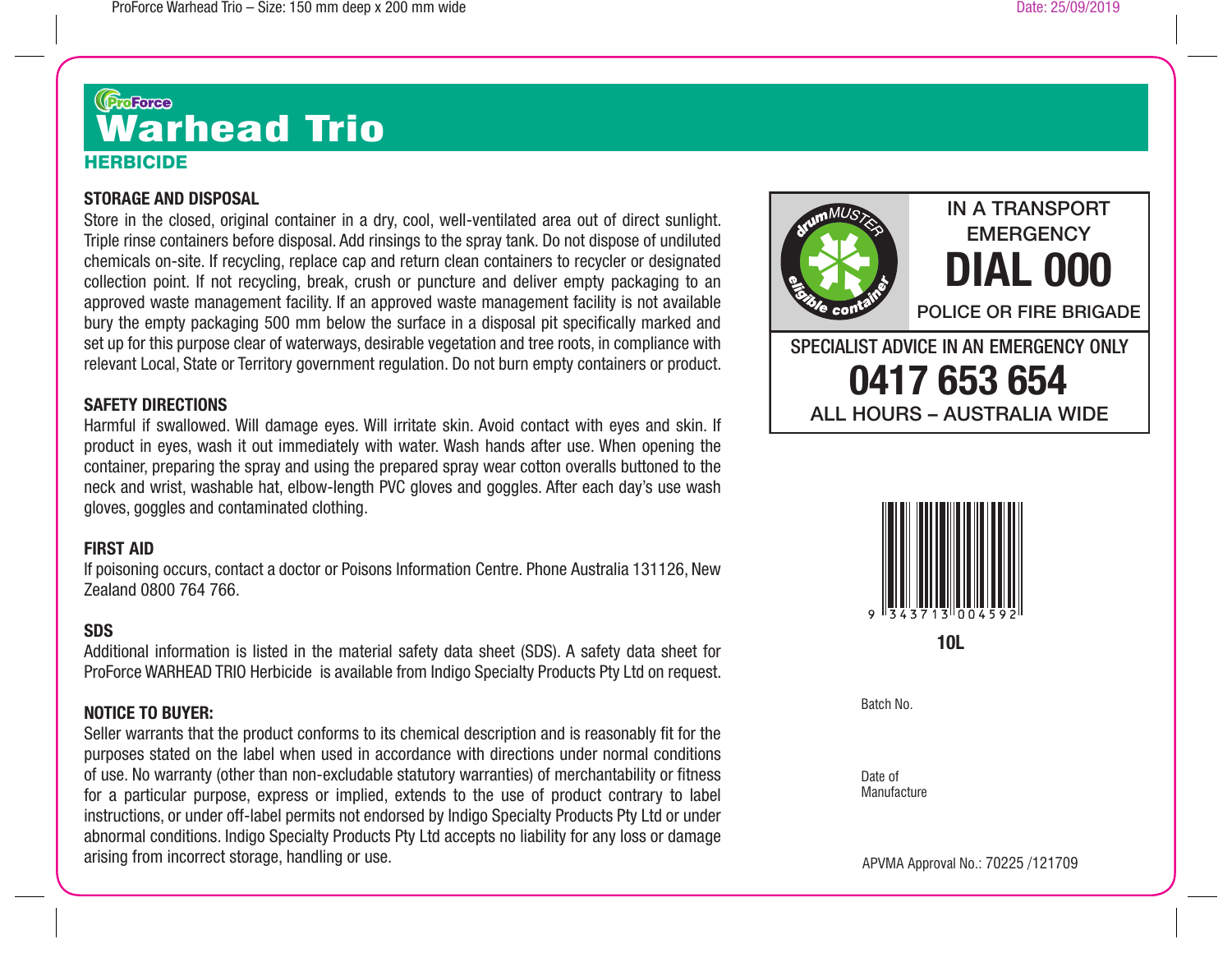## HERBICIDE <sup>ருக</sup>ை<br>Warhead Trio

#### **STORAGE AND DISPOSAL**

Store in the closed, original container in a dry, cool, well-ventilated area out of direct sunlight. Triple rinse containers before disposal. Add rinsings to the spray tank. Do not dispose of undiluted chemicals on-site. If recycling, replace cap and return clean containers to recycler or designated collection point. If not recycling, break, crush or puncture and deliver empty packaging to an approved waste management facility. If an approved waste management facility is not available bury the empty packaging 500 mm below the surface in a disposal pit specifically marked and set up for this purpose clear of waterways, desirable vegetation and tree roots, in compliance with relevant Local, State or Territory government regulation. Do not burn empty containers or product.

### **SAFETY DIRECTIONS**

Harmful if swallowed. Will damage eyes. Will irritate skin. Avoid contact with eyes and skin. If product in eyes, wash it out immediately with water. Wash hands after use. When opening the container, preparing the spray and using the prepared spray wear cotton overalls buttoned to the neck and wrist, washable hat, elbow-length PVC gloves and goggles. After each day's use wash gloves, goggles and contaminated clothing.

#### **FIRST AID**

If poisoning occurs, contact a doctor or Poisons Information Centre. Phone Australia 131126, New Zealand 0800 764 766.

#### **SDS**

Additional information is listed in the material safety data sheet (SDS). A safety data sheet for ProForce WARHEAD TRIO Herbicide is available from Indigo Specialty Products Pty Ltd on request.

#### **NOTICE TO BUYER:**

Seller warrants that the product conforms to its chemical description and is reasonably fit for the purposes stated on the label when used in accordance with directions under normal conditions of use. No warranty (other than non-excludable statutory warranties) of merchantability or fitness for a particular purpose, express or implied, extends to the use of product contrary to label instructions, or under off-label permits not endorsed by Indigo Specialty Products Pty Ltd or under abnormal conditions. Indigo Specialty Products Pty Ltd accepts no liability for any loss or damage arising from incorrect storage, handling or use.





**10L**

Batch No.

Date of Manufacture

APVMA Approval No.: 70225 /121709

IN A TRANSPORT **EMERGENCY**